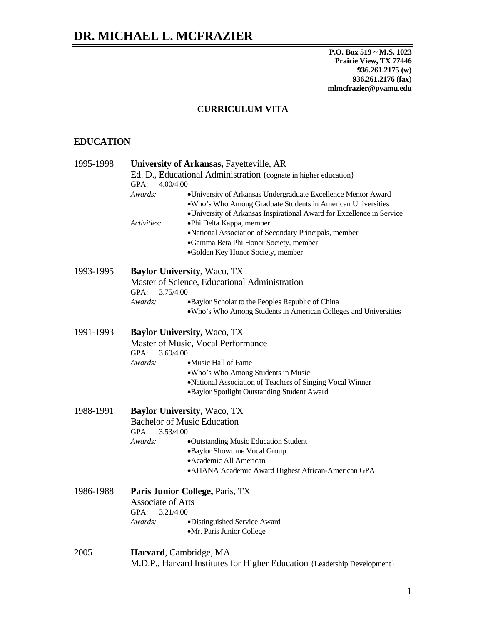**P.O. Box 519 ~ M.S. 1023 Prairie View, TX 77446 936.261.2175 (w) 936.261.2176 (fax) mlmcfrazier@pvamu.edu**

## **CURRICULUM VITA**

## **EDUCATION**

| 1995-1998                                     | University of Arkansas, Fayetteville, AR<br>Ed. D., Educational Administration {cognate in higher education}<br>GPA:<br>4.00/4.00 |                                                                       |
|-----------------------------------------------|-----------------------------------------------------------------------------------------------------------------------------------|-----------------------------------------------------------------------|
|                                               |                                                                                                                                   |                                                                       |
|                                               |                                                                                                                                   |                                                                       |
|                                               |                                                                                                                                   | .Who's Who Among Graduate Students in American Universities           |
|                                               |                                                                                                                                   | ·University of Arkansas Inspirational Award for Excellence in Service |
|                                               | Activities:                                                                                                                       | •Phi Delta Kappa, member                                              |
|                                               |                                                                                                                                   | ·National Association of Secondary Principals, member                 |
|                                               |                                                                                                                                   | ·Gamma Beta Phi Honor Society, member                                 |
|                                               |                                                                                                                                   | ·Golden Key Honor Society, member                                     |
|                                               | 1993-1995                                                                                                                         | <b>Baylor University, Waco, TX</b>                                    |
| Master of Science, Educational Administration |                                                                                                                                   |                                                                       |
| GPA:<br>3.75/4.00                             |                                                                                                                                   |                                                                       |
| Awards:                                       |                                                                                                                                   | •Baylor Scholar to the Peoples Republic of China                      |
|                                               |                                                                                                                                   | . Who's Who Among Students in American Colleges and Universities      |
|                                               |                                                                                                                                   |                                                                       |
| 1991-1993                                     | <b>Baylor University, Waco, TX</b>                                                                                                |                                                                       |
|                                               | Master of Music, Vocal Performance                                                                                                |                                                                       |
|                                               | 3.69/4.00<br>GPA:                                                                                                                 |                                                                       |
|                                               | Awards:                                                                                                                           | •Music Hall of Fame                                                   |
|                                               |                                                                                                                                   | .Who's Who Among Students in Music                                    |
|                                               |                                                                                                                                   | ·National Association of Teachers of Singing Vocal Winner             |
|                                               |                                                                                                                                   | ·Baylor Spotlight Outstanding Student Award                           |
| 1988-1991                                     | <b>Baylor University, Waco, TX</b>                                                                                                |                                                                       |
|                                               | <b>Bachelor of Music Education</b>                                                                                                |                                                                       |
|                                               | GPA:<br>3.53/4.00                                                                                                                 |                                                                       |
|                                               | Awards:                                                                                                                           | •Outstanding Music Education Student                                  |
|                                               |                                                                                                                                   | •Baylor Showtime Vocal Group                                          |
|                                               |                                                                                                                                   | • Academic All American                                               |
|                                               |                                                                                                                                   | • AHANA Academic Award Highest African-American GPA                   |
| 1986-1988                                     | Paris Junior College, Paris, TX                                                                                                   |                                                                       |
|                                               | <b>Associate of Arts</b>                                                                                                          |                                                                       |
|                                               | GPA:<br>3.21/4.00                                                                                                                 |                                                                       |
|                                               | Awards:                                                                                                                           |                                                                       |
|                                               |                                                                                                                                   | •Distinguished Service Award                                          |
|                                               |                                                                                                                                   | ·Mr. Paris Junior College                                             |
| 2005                                          | Harvard, Cambridge, MA                                                                                                            |                                                                       |
|                                               | M.D.P., Harvard Institutes for Higher Education {Leadership Development}                                                          |                                                                       |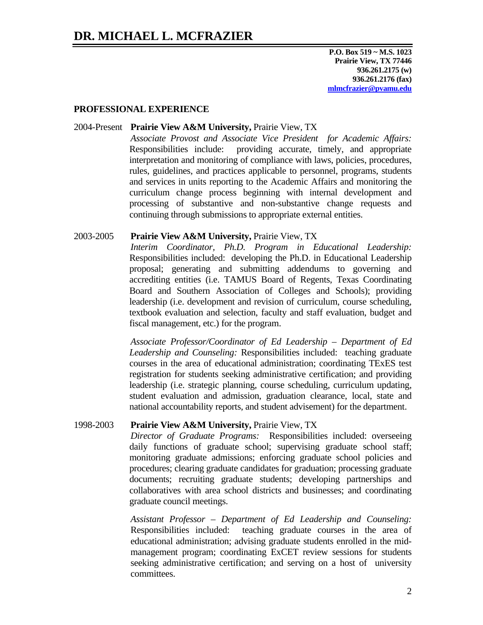**P.O. Box 519 ~ M.S. 1023 Prairie View, TX 77446 936.261.2175 (w) 936.261.2176 (fax) mlmcfrazier@pvamu.edu**

### **PROFESSIONAL EXPERIENCE**

#### 2004-Present **Prairie View A&M University,** Prairie View, TX

*Associate Provost and Associate Vice President for Academic Affairs:*  Responsibilities include: providing accurate, timely, and appropriate interpretation and monitoring of compliance with laws, policies, procedures, rules, guidelines, and practices applicable to personnel, programs, students and services in units reporting to the Academic Affairs and monitoring the curriculum change process beginning with internal development and processing of substantive and non-substantive change requests and continuing through submissions to appropriate external entities.

#### 2003-2005 **Prairie View A&M University,** Prairie View, TX

*Interim Coordinator, Ph.D. Program in Educational Leadership:*  Responsibilities included: developing the Ph.D. in Educational Leadership proposal; generating and submitting addendums to governing and accrediting entities (i.e. TAMUS Board of Regents, Texas Coordinating Board and Southern Association of Colleges and Schools); providing leadership (i.e. development and revision of curriculum, course scheduling, textbook evaluation and selection, faculty and staff evaluation, budget and fiscal management, etc.) for the program.

*Associate Professor/Coordinator of Ed Leadership – Department of Ed Leadership and Counseling:* Responsibilities included: teaching graduate courses in the area of educational administration; coordinating TExES test registration for students seeking administrative certification; and providing leadership (i.e. strategic planning, course scheduling, curriculum updating, student evaluation and admission, graduation clearance, local, state and national accountability reports, and student advisement) for the department.

### 1998-2003 **Prairie View A&M University,** Prairie View, TX

*Director of Graduate Programs:* Responsibilities included: overseeing daily functions of graduate school; supervising graduate school staff; monitoring graduate admissions; enforcing graduate school policies and procedures; clearing graduate candidates for graduation; processing graduate documents; recruiting graduate students; developing partnerships and collaboratives with area school districts and businesses; and coordinating graduate council meetings.

*Assistant Professor – Department of Ed Leadership and Counseling:*  Responsibilities included: teaching graduate courses in the area of educational administration; advising graduate students enrolled in the midmanagement program; coordinating ExCET review sessions for students seeking administrative certification; and serving on a host of university committees.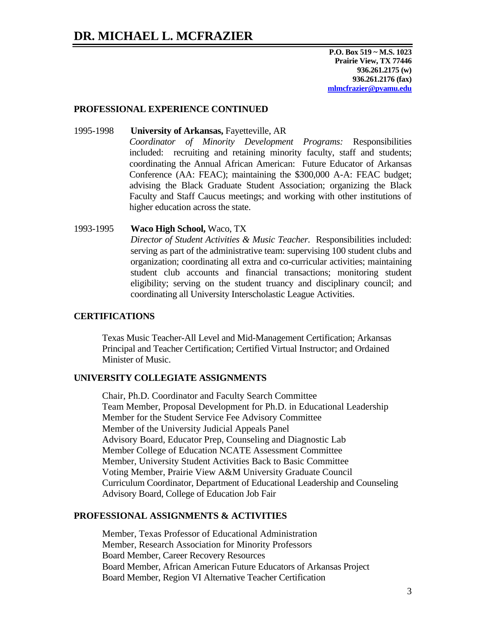**P.O. Box 519 ~ M.S. 1023 Prairie View, TX 77446 936.261.2175 (w) 936.261.2176 (fax) mlmcfrazier@pvamu.edu**

#### **PROFESSIONAL EXPERIENCE CONTINUED**

- 1995-1998 **University of Arkansas,** Fayetteville, AR *Coordinator of Minority Development Programs:* Responsibilities included: recruiting and retaining minority faculty, staff and students; coordinating the Annual African American: Future Educator of Arkansas Conference (AA: FEAC); maintaining the \$300,000 A-A: FEAC budget; advising the Black Graduate Student Association; organizing the Black Faculty and Staff Caucus meetings; and working with other institutions of higher education across the state.
- 1993-1995 **Waco High School,** Waco, TX *Director of Student Activities & Music Teacher.* Responsibilities included: serving as part of the administrative team: supervising 100 student clubs and organization; coordinating all extra and co-curricular activities; maintaining student club accounts and financial transactions; monitoring student eligibility; serving on the student truancy and disciplinary council; and coordinating all University Interscholastic League Activities.

### **CERTIFICATIONS**

Texas Music Teacher-All Level and Mid-Management Certification; Arkansas Principal and Teacher Certification; Certified Virtual Instructor; and Ordained Minister of Music.

### **UNIVERSITY COLLEGIATE ASSIGNMENTS**

Chair, Ph.D. Coordinator and Faculty Search Committee Team Member, Proposal Development for Ph.D. in Educational Leadership Member for the Student Service Fee Advisory Committee Member of the University Judicial Appeals Panel Advisory Board, Educator Prep, Counseling and Diagnostic Lab Member College of Education NCATE Assessment Committee Member, University Student Activities Back to Basic Committee Voting Member, Prairie View A&M University Graduate Council Curriculum Coordinator, Department of Educational Leadership and Counseling Advisory Board, College of Education Job Fair

#### **PROFESSIONAL ASSIGNMENTS & ACTIVITIES**

Member, Texas Professor of Educational Administration Member, Research Association for Minority Professors Board Member, Career Recovery Resources Board Member, African American Future Educators of Arkansas Project Board Member, Region VI Alternative Teacher Certification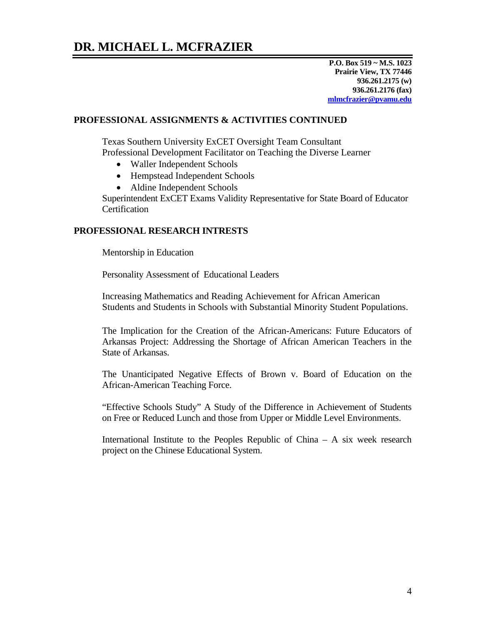**P.O. Box 519 ~ M.S. 1023 Prairie View, TX 77446 936.261.2175 (w) 936.261.2176 (fax) mlmcfrazier@pvamu.edu**

### **PROFESSIONAL ASSIGNMENTS & ACTIVITIES CONTINUED**

Texas Southern University ExCET Oversight Team Consultant Professional Development Facilitator on Teaching the Diverse Learner

- Waller Independent Schools
- Hempstead Independent Schools
- Aldine Independent Schools

Superintendent ExCET Exams Validity Representative for State Board of Educator **Certification** 

### **PROFESSIONAL RESEARCH INTRESTS**

Mentorship in Education

Personality Assessment of Educational Leaders

Increasing Mathematics and Reading Achievement for African American Students and Students in Schools with Substantial Minority Student Populations.

The Implication for the Creation of the African-Americans: Future Educators of Arkansas Project: Addressing the Shortage of African American Teachers in the State of Arkansas.

The Unanticipated Negative Effects of Brown v. Board of Education on the African-American Teaching Force.

"Effective Schools Study" A Study of the Difference in Achievement of Students on Free or Reduced Lunch and those from Upper or Middle Level Environments.

International Institute to the Peoples Republic of China – A six week research project on the Chinese Educational System.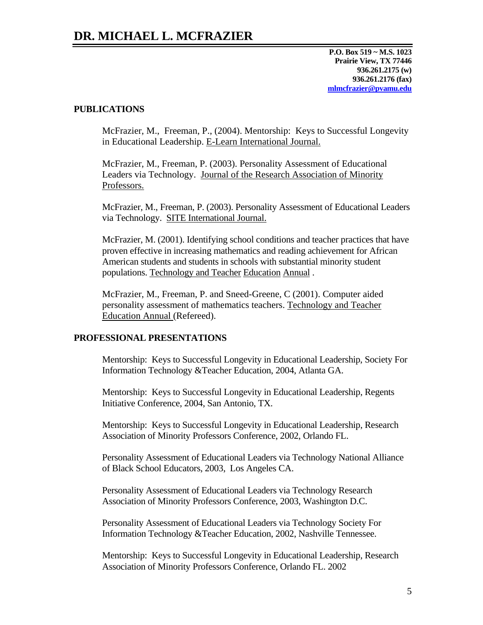**P.O. Box 519 ~ M.S. 1023 Prairie View, TX 77446 936.261.2175 (w) 936.261.2176 (fax) mlmcfrazier@pvamu.edu**

### **PUBLICATIONS**

McFrazier, M., Freeman, P., (2004). Mentorship: Keys to Successful Longevity in Educational Leadership. E-Learn International Journal.

McFrazier, M., Freeman, P. (2003). Personality Assessment of Educational Leaders via Technology. Journal of the Research Association of Minority Professors.

McFrazier, M., Freeman, P. (2003). Personality Assessment of Educational Leaders via Technology. SITE International Journal.

McFrazier, M. (2001). Identifying school conditions and teacher practices that have proven effective in increasing mathematics and reading achievement for African American students and students in schools with substantial minority student populations. Technology and Teacher Education Annual .

McFrazier, M., Freeman, P. and Sneed-Greene, C (2001). Computer aided personality assessment of mathematics teachers. Technology and Teacher Education Annual (Refereed).

### **PROFESSIONAL PRESENTATIONS**

Mentorship: Keys to Successful Longevity in Educational Leadership, Society For Information Technology &Teacher Education, 2004, Atlanta GA.

Mentorship: Keys to Successful Longevity in Educational Leadership, Regents Initiative Conference, 2004, San Antonio, TX.

Mentorship: Keys to Successful Longevity in Educational Leadership, Research Association of Minority Professors Conference, 2002, Orlando FL.

Personality Assessment of Educational Leaders via Technology National Alliance of Black School Educators, 2003, Los Angeles CA.

Personality Assessment of Educational Leaders via Technology Research Association of Minority Professors Conference, 2003, Washington D.C.

Personality Assessment of Educational Leaders via Technology Society For Information Technology &Teacher Education, 2002, Nashville Tennessee.

Mentorship: Keys to Successful Longevity in Educational Leadership, Research Association of Minority Professors Conference, Orlando FL. 2002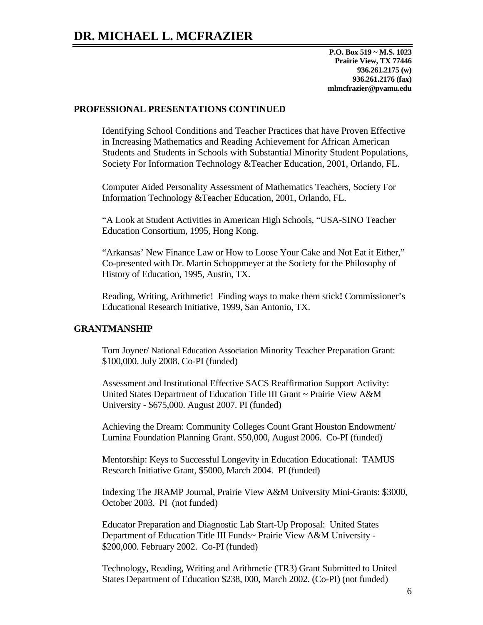**P.O. Box 519 ~ M.S. 1023 Prairie View, TX 77446 936.261.2175 (w) 936.261.2176 (fax) mlmcfrazier@pvamu.edu**

#### **PROFESSIONAL PRESENTATIONS CONTINUED**

Identifying School Conditions and Teacher Practices that have Proven Effective in Increasing Mathematics and Reading Achievement for African American Students and Students in Schools with Substantial Minority Student Populations, Society For Information Technology &Teacher Education, 2001, Orlando, FL.

Computer Aided Personality Assessment of Mathematics Teachers, Society For Information Technology &Teacher Education, 2001, Orlando, FL.

"A Look at Student Activities in American High Schools, "USA-SINO Teacher Education Consortium, 1995, Hong Kong.

"Arkansas' New Finance Law or How to Loose Your Cake and Not Eat it Either," Co-presented with Dr. Martin Schoppmeyer at the Society for the Philosophy of History of Education, 1995, Austin, TX.

Reading, Writing, Arithmetic! Finding ways to make them stick**!** Commissioner's Educational Research Initiative, 1999, San Antonio, TX.

#### **GRANTMANSHIP**

Tom Joyner/ National Education Association Minority Teacher Preparation Grant: \$100,000. July 2008. Co-PI (funded)

Assessment and Institutional Effective SACS Reaffirmation Support Activity: United States Department of Education Title III Grant ~ Prairie View A&M University - \$675,000. August 2007. PI (funded)

Achieving the Dream: Community Colleges Count Grant Houston Endowment/ Lumina Foundation Planning Grant. \$50,000, August 2006. Co-PI (funded)

Mentorship: Keys to Successful Longevity in Education Educational: TAMUS Research Initiative Grant, \$5000, March 2004. PI (funded)

Indexing The JRAMP Journal, Prairie View A&M University Mini-Grants: \$3000, October 2003. PI (not funded)

Educator Preparation and Diagnostic Lab Start-Up Proposal: United States Department of Education Title III Funds~ Prairie View A&M University - \$200,000. February 2002. Co-PI (funded)

Technology, Reading, Writing and Arithmetic (TR3) Grant Submitted to United States Department of Education \$238, 000, March 2002. (Co-PI) (not funded)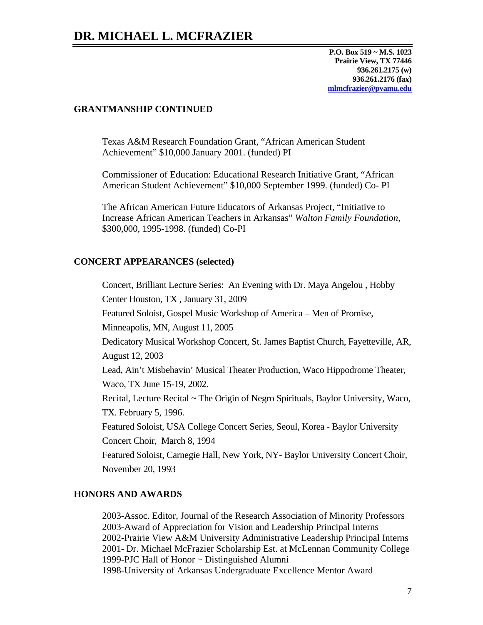**P.O. Box 519 ~ M.S. 1023 Prairie View, TX 77446 936.261.2175 (w) 936.261.2176 (fax) mlmcfrazier@pvamu.edu**

### **GRANTMANSHIP CONTINUED**

Texas A&M Research Foundation Grant, "African American Student Achievement" \$10,000 January 2001. (funded) PI

Commissioner of Education: Educational Research Initiative Grant, "African American Student Achievement" \$10,000 September 1999. (funded) Co- PI

The African American Future Educators of Arkansas Project, "Initiative to Increase African American Teachers in Arkansas" *Walton Family Foundation,*  \$300,000, 1995-1998. (funded) Co-PI

### **CONCERT APPEARANCES (selected)**

Concert, Brilliant Lecture Series: An Evening with Dr. Maya Angelou , Hobby Center Houston, TX , January 31, 2009 Featured Soloist, Gospel Music Workshop of America – Men of Promise, Minneapolis, MN, August 11, 2005 Dedicatory Musical Workshop Concert, St. James Baptist Church, Fayetteville, AR, August 12, 2003 Lead, Ain't Misbehavin' Musical Theater Production, Waco Hippodrome Theater, Waco, TX June 15-19, 2002. Recital, Lecture Recital ~ The Origin of Negro Spirituals, Baylor University, Waco, TX. February 5, 1996. Featured Soloist, USA College Concert Series, Seoul, Korea - Baylor University Concert Choir, March 8, 1994 Featured Soloist, Carnegie Hall, New York, NY- Baylor University Concert Choir, November 20, 1993

### **HONORS AND AWARDS**

2003-Assoc. Editor, Journal of the Research Association of Minority Professors 2003-Award of Appreciation for Vision and Leadership Principal Interns 2002-Prairie View A&M University Administrative Leadership Principal Interns 2001- Dr. Michael McFrazier Scholarship Est. at McLennan Community College 1999-PJC Hall of Honor ~ Distinguished Alumni 1998-University of Arkansas Undergraduate Excellence Mentor Award